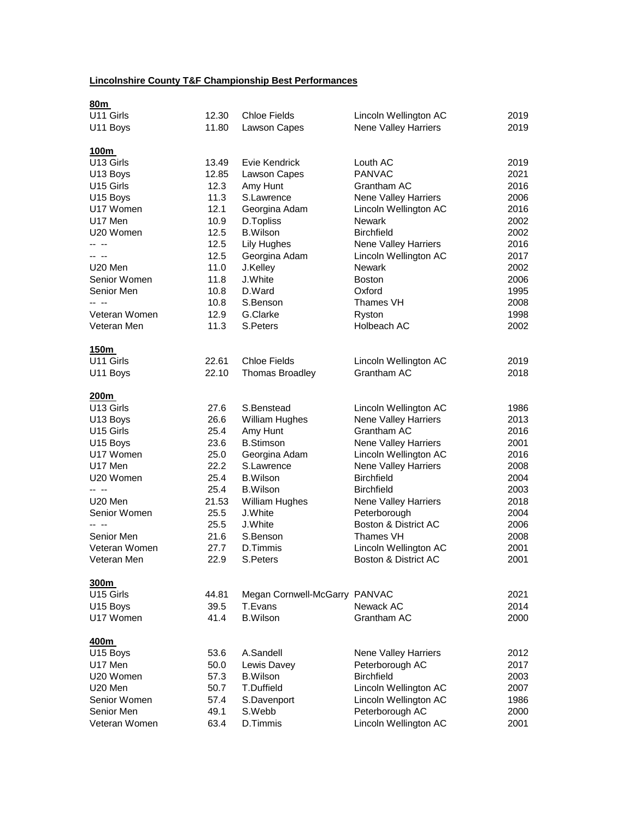## **Lincolnshire County T&F Championship Best Performances**

| 80m                   |       |                               |                             |      |
|-----------------------|-------|-------------------------------|-----------------------------|------|
| U11 Girls             | 12.30 | <b>Chloe Fields</b>           | Lincoln Wellington AC       | 2019 |
| U11 Boys              | 11.80 | Lawson Capes                  | Nene Valley Harriers        | 2019 |
| 100m                  |       |                               |                             |      |
| U13 Girls             | 13.49 | Evie Kendrick                 | Louth AC                    | 2019 |
| U13 Boys              | 12.85 | Lawson Capes                  | <b>PANVAC</b>               | 2021 |
| U15 Girls             | 12.3  | Amy Hunt                      | Grantham AC                 | 2016 |
| U15 Boys              | 11.3  | S.Lawrence                    | Nene Valley Harriers        | 2006 |
| U17 Women             | 12.1  | Georgina Adam                 | Lincoln Wellington AC       | 2016 |
| U17 Men               | 10.9  | D.Topliss                     | <b>Newark</b>               | 2002 |
| U20 Women             | 12.5  | <b>B.Wilson</b>               | <b>Birchfield</b>           | 2002 |
| -- --                 | 12.5  | Lily Hughes                   | Nene Valley Harriers        | 2016 |
| -- --                 | 12.5  | Georgina Adam                 | Lincoln Wellington AC       | 2017 |
| U20 Men               | 11.0  | J.Kelley                      | <b>Newark</b>               | 2002 |
| Senior Women          | 11.8  | J.White                       | <b>Boston</b>               | 2006 |
| Senior Men            | 10.8  | D.Ward                        | Oxford                      | 1995 |
| -- --                 | 10.8  | S.Benson                      | Thames VH                   | 2008 |
| Veteran Women         | 12.9  | G.Clarke                      | Ryston                      | 1998 |
| Veteran Men           | 11.3  | S.Peters                      | Holbeach AC                 | 2002 |
|                       |       |                               |                             |      |
| 150m                  |       |                               |                             |      |
| U11 Girls             | 22.61 | <b>Chloe Fields</b>           | Lincoln Wellington AC       | 2019 |
| U11 Boys              | 22.10 | <b>Thomas Broadley</b>        | Grantham AC                 | 2018 |
| 200m                  |       |                               |                             |      |
| U13 Girls             | 27.6  | S.Benstead                    | Lincoln Wellington AC       | 1986 |
| U13 Boys              | 26.6  | <b>William Hughes</b>         | <b>Nene Valley Harriers</b> | 2013 |
| U <sub>15</sub> Girls | 25.4  | Amy Hunt                      | Grantham AC                 | 2016 |
| U15 Boys              | 23.6  | <b>B.Stimson</b>              | Nene Valley Harriers        | 2001 |
| U17 Women             | 25.0  | Georgina Adam                 | Lincoln Wellington AC       | 2016 |
| U17 Men               | 22.2  | S.Lawrence                    | Nene Valley Harriers        | 2008 |
| U20 Women             | 25.4  | <b>B.Wilson</b>               | <b>Birchfield</b>           | 2004 |
| -- --                 | 25.4  | <b>B.Wilson</b>               | <b>Birchfield</b>           | 2003 |
| U20 Men               | 21.53 | <b>William Hughes</b>         | Nene Valley Harriers        | 2018 |
| Senior Women          | 25.5  | J.White                       | Peterborough                | 2004 |
| -- --                 | 25.5  | J.White                       | Boston & District AC        | 2006 |
| Senior Men            | 21.6  | S.Benson                      | Thames VH                   | 2008 |
| Veteran Women         | 27.7  | D.Timmis                      | Lincoln Wellington AC       | 2001 |
| Veteran Men           | 22.9  | S.Peters                      | Boston & District AC        | 2001 |
| 300m                  |       |                               |                             |      |
| U15 Girls             | 44.81 | Megan Cornwell-McGarry PANVAC |                             | 2021 |
| U15 Boys              | 39.5  | T.Evans                       | Newack AC                   | 2014 |
| U17 Women             | 41.4  | <b>B.Wilson</b>               | Grantham AC                 | 2000 |
|                       |       |                               |                             |      |
| 400m                  |       |                               |                             |      |
| U15 Boys              | 53.6  | A.Sandell                     | Nene Valley Harriers        | 2012 |
| U17 Men               | 50.0  | Lewis Davey                   | Peterborough AC             | 2017 |
| U20 Women             | 57.3  | <b>B.Wilson</b>               | <b>Birchfield</b>           | 2003 |
| U20 Men               | 50.7  | T.Duffield                    | Lincoln Wellington AC       | 2007 |
| Senior Women          | 57.4  | S.Davenport                   | Lincoln Wellington AC       | 1986 |
| Senior Men            | 49.1  | S.Webb                        | Peterborough AC             | 2000 |
| Veteran Women         | 63.4  | D.Timmis                      | Lincoln Wellington AC       | 2001 |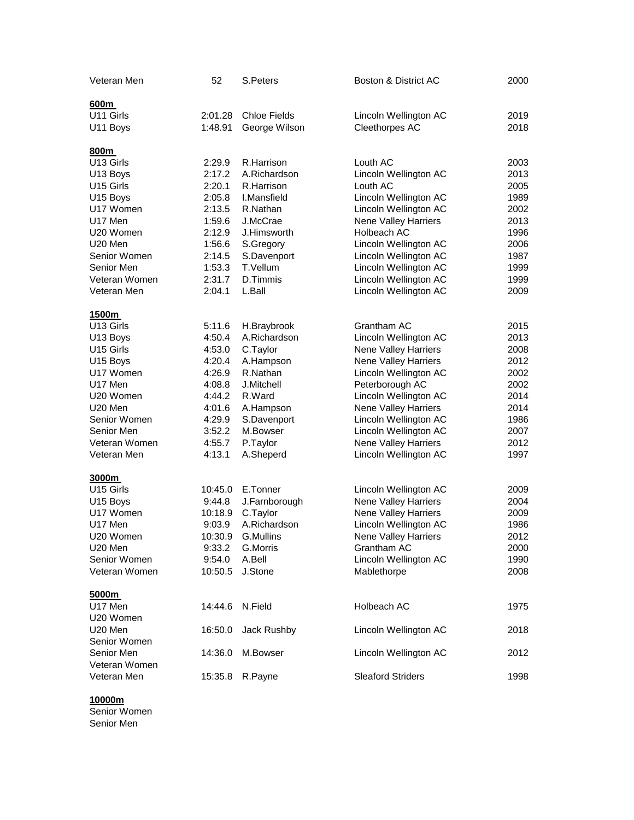| Veteran Men      | 52      | S.Peters            | Boston & District AC        | 2000 |
|------------------|---------|---------------------|-----------------------------|------|
|                  |         |                     |                             |      |
| 600m             |         |                     |                             |      |
| U11 Girls        | 2:01.28 | <b>Chloe Fields</b> | Lincoln Wellington AC       | 2019 |
| U11 Boys         | 1:48.91 | George Wilson       | Cleethorpes AC              | 2018 |
| 800m             |         |                     |                             |      |
| U13 Girls        | 2:29.9  | R.Harrison          | Louth AC                    | 2003 |
| U13 Boys         | 2:17.2  | A.Richardson        | Lincoln Wellington AC       | 2013 |
| U15 Girls        | 2:20.1  | R.Harrison          | Louth AC                    | 2005 |
| U15 Boys         | 2:05.8  | I.Mansfield         | Lincoln Wellington AC       | 1989 |
| U17 Women        | 2:13.5  | R.Nathan            | Lincoln Wellington AC       | 2002 |
| U17 Men          | 1:59.6  | J.McCrae            | <b>Nene Valley Harriers</b> | 2013 |
| U20 Women        | 2:12.9  | J.Himsworth         | Holbeach AC                 | 1996 |
| U20 Men          | 1:56.6  | S.Gregory           | Lincoln Wellington AC       | 2006 |
| Senior Women     | 2:14.5  | S.Davenport         | Lincoln Wellington AC       | 1987 |
| Senior Men       | 1:53.3  | T.Vellum            | Lincoln Wellington AC       | 1999 |
| Veteran Women    | 2:31.7  | D.Timmis            | Lincoln Wellington AC       | 1999 |
| Veteran Men      | 2:04.1  | L.Ball              | Lincoln Wellington AC       | 2009 |
|                  |         |                     |                             |      |
| 1500m            |         |                     |                             |      |
| U13 Girls        | 5:11.6  | H.Braybrook         | Grantham AC                 | 2015 |
| U13 Boys         | 4:50.4  | A.Richardson        | Lincoln Wellington AC       | 2013 |
| U15 Girls        | 4:53.0  | C.Taylor            | Nene Valley Harriers        | 2008 |
| U15 Boys         | 4:20.4  | A.Hampson           | Nene Valley Harriers        | 2012 |
| U17 Women        | 4:26.9  | R.Nathan            | Lincoln Wellington AC       | 2002 |
| U17 Men          | 4:08.8  | J.Mitchell          | Peterborough AC             | 2002 |
| U20 Women        | 4:44.2  | R.Ward              | Lincoln Wellington AC       | 2014 |
| U20 Men          | 4:01.6  | A.Hampson           | Nene Valley Harriers        | 2014 |
| Senior Women     | 4:29.9  | S.Davenport         | Lincoln Wellington AC       | 1986 |
| Senior Men       | 3:52.2  | M.Bowser            | Lincoln Wellington AC       | 2007 |
| Veteran Women    | 4:55.7  | P.Taylor            | Nene Valley Harriers        | 2012 |
| Veteran Men      | 4:13.1  | A.Sheperd           | Lincoln Wellington AC       | 1997 |
| 3000m            |         |                     |                             |      |
| U15 Girls        | 10:45.0 | E.Tonner            | Lincoln Wellington AC       | 2009 |
| U15 Boys         | 9:44.8  | J.Farnborough       | Nene Valley Harriers        | 2004 |
| U17 Women        | 10:18.9 | C.Taylor            | Nene Valley Harriers        | 2009 |
| U17 Men          | 9:03.9  | A.Richardson        | Lincoln Wellington AC       | 1986 |
| U20 Women        | 10:30.9 | G.Mullins           | Nene Valley Harriers        | 2012 |
| U20 Men          | 9:33.2  | G.Morris            | Grantham AC                 | 2000 |
| Senior Women     | 9:54.0  | A.Bell              | Lincoln Wellington AC       | 1990 |
| Veteran Women    | 10:50.5 | J.Stone             | Mablethorpe                 | 2008 |
|                  |         |                     |                             |      |
| 5000m<br>U17 Men | 14:44.6 |                     |                             | 1975 |
|                  |         | N.Field             | Holbeach AC                 |      |
| U20 Women        |         |                     |                             |      |
| U20 Men          | 16:50.0 | Jack Rushby         | Lincoln Wellington AC       | 2018 |
| Senior Women     |         |                     |                             |      |
| Senior Men       | 14:36.0 | M.Bowser            | Lincoln Wellington AC       | 2012 |
| Veteran Women    |         |                     |                             |      |
| Veteran Men      | 15:35.8 | R.Payne             | <b>Sleaford Striders</b>    | 1998 |

## **10000m**

Senior Women Senior Men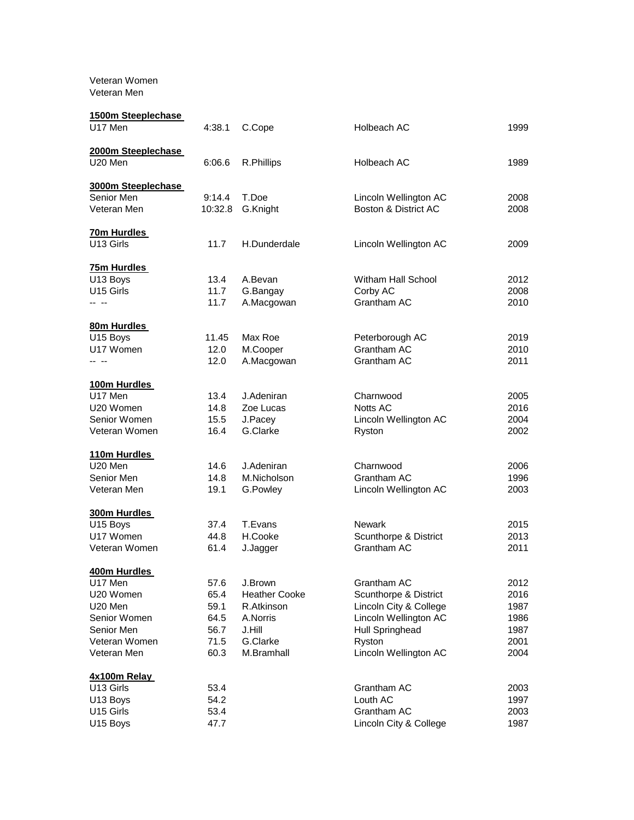Veteran Women Veteran Men

| 1500m Steeplechase<br>U17 Men             | 4:38.1  | C.Cope               | Holbeach AC            | 1999 |
|-------------------------------------------|---------|----------------------|------------------------|------|
| 2000m Steeplechase<br>U <sub>20</sub> Men | 6:06.6  | R.Phillips           | Holbeach AC            | 1989 |
| 3000m Steeplechase                        |         |                      |                        |      |
| Senior Men                                | 9:14.4  | T.Doe                | Lincoln Wellington AC  | 2008 |
| Veteran Men                               | 10:32.8 | G.Knight             | Boston & District AC   | 2008 |
| 70m Hurdles                               |         |                      |                        |      |
| U13 Girls                                 | 11.7    | H.Dunderdale         | Lincoln Wellington AC  | 2009 |
| 75m Hurdles                               |         |                      |                        |      |
| U13 Boys                                  | 13.4    | A.Bevan              | Witham Hall School     | 2012 |
| U15 Girls                                 | 11.7    | G.Bangay             | Corby AC               | 2008 |
| -- --                                     | 11.7    | A.Macgowan           | Grantham AC            | 2010 |
| 80m Hurdles                               |         |                      |                        |      |
| U15 Boys                                  | 11.45   | Max Roe              | Peterborough AC        | 2019 |
| U17 Women                                 | 12.0    | M.Cooper             | Grantham AC            | 2010 |
| -- --                                     | 12.0    | A.Macgowan           | Grantham AC            | 2011 |
| 100m Hurdles                              |         |                      |                        |      |
| U17 Men                                   | 13.4    | J.Adeniran           | Charnwood              | 2005 |
| U20 Women                                 | 14.8    | Zoe Lucas            | Notts AC               | 2016 |
| Senior Women                              | 15.5    | J.Pacey              | Lincoln Wellington AC  | 2004 |
| Veteran Women                             | 16.4    | G.Clarke             | Ryston                 | 2002 |
| 110m Hurdles                              |         |                      |                        |      |
| U <sub>20</sub> Men                       | 14.6    | J.Adeniran           | Charnwood              | 2006 |
| Senior Men                                | 14.8    | M.Nicholson          | Grantham AC            | 1996 |
| Veteran Men                               | 19.1    | G.Powley             | Lincoln Wellington AC  | 2003 |
| 300m Hurdles                              |         |                      |                        |      |
| U15 Boys                                  | 37.4    | T.Evans              | <b>Newark</b>          | 2015 |
| U17 Women                                 | 44.8    | H.Cooke              | Scunthorpe & District  | 2013 |
| Veteran Women                             | 61.4    | J.Jagger             | Grantham AC            | 2011 |
| 400m Hurdles                              |         |                      |                        |      |
| U17 Men                                   | 57.6    | J.Brown              | Grantham AC            | 2012 |
| U20 Women                                 | 65.4    | <b>Heather Cooke</b> | Scunthorpe & District  | 2016 |
| U20 Men                                   | 59.1    | R.Atkinson           | Lincoln City & College | 1987 |
| Senior Women                              | 64.5    | A.Norris             | Lincoln Wellington AC  | 1986 |
| Senior Men                                | 56.7    | J.Hill               | Hull Springhead        | 1987 |
| Veteran Women                             | 71.5    | G.Clarke             | Ryston                 | 2001 |
| Veteran Men                               | 60.3    | M.Bramhall           | Lincoln Wellington AC  | 2004 |
| 4x100m Relay                              |         |                      |                        |      |
| U13 Girls                                 | 53.4    |                      | Grantham AC            | 2003 |
| U13 Boys                                  | 54.2    |                      | Louth AC               | 1997 |
| U15 Girls                                 | 53.4    |                      | Grantham AC            | 2003 |
| U15 Boys                                  | 47.7    |                      | Lincoln City & College | 1987 |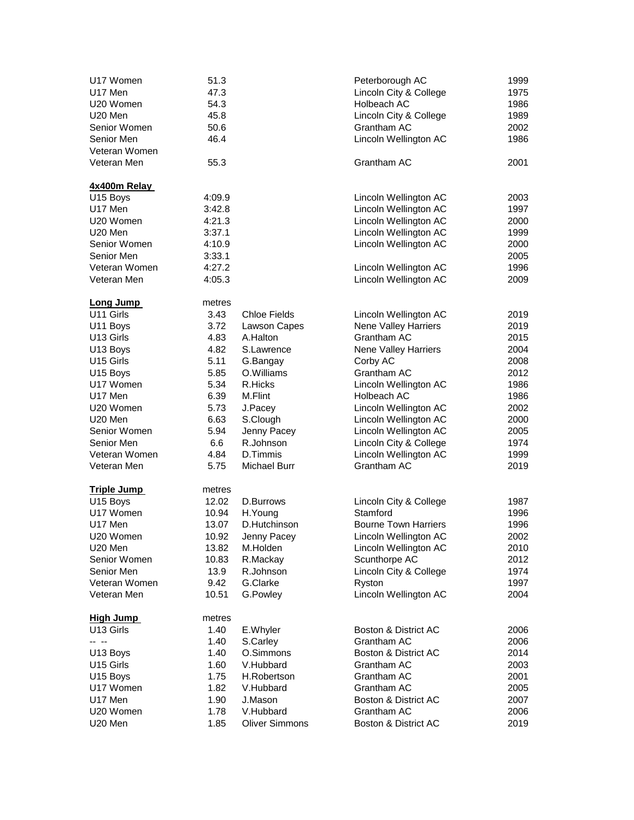| U17 Women          | 51.3   |                       | Peterborough AC             | 1999 |
|--------------------|--------|-----------------------|-----------------------------|------|
| U17 Men            | 47.3   |                       | Lincoln City & College      | 1975 |
| U20 Women          | 54.3   |                       | Holbeach AC                 | 1986 |
| U20 Men            | 45.8   |                       | Lincoln City & College      | 1989 |
| Senior Women       | 50.6   |                       | Grantham AC                 | 2002 |
| Senior Men         | 46.4   |                       | Lincoln Wellington AC       | 1986 |
| Veteran Women      |        |                       |                             |      |
| Veteran Men        | 55.3   |                       | Grantham AC                 | 2001 |
| 4x400m Relay       |        |                       |                             |      |
| U15 Boys           | 4:09.9 |                       | Lincoln Wellington AC       | 2003 |
| U17 Men            | 3:42.8 |                       | Lincoln Wellington AC       | 1997 |
| U20 Women          | 4:21.3 |                       | Lincoln Wellington AC       | 2000 |
| U20 Men            | 3:37.1 |                       | Lincoln Wellington AC       | 1999 |
| Senior Women       | 4:10.9 |                       | Lincoln Wellington AC       | 2000 |
| Senior Men         | 3:33.1 |                       |                             | 2005 |
| Veteran Women      |        |                       |                             |      |
|                    | 4:27.2 |                       | Lincoln Wellington AC       | 1996 |
| Veteran Men        | 4:05.3 |                       | Lincoln Wellington AC       | 2009 |
| <b>Long Jump</b>   | metres |                       |                             |      |
| U11 Girls          | 3.43   | <b>Chloe Fields</b>   | Lincoln Wellington AC       | 2019 |
| U11 Boys           | 3.72   | Lawson Capes          | <b>Nene Valley Harriers</b> | 2019 |
| U13 Girls          | 4.83   | A.Halton              | Grantham AC                 | 2015 |
| U13 Boys           | 4.82   | S.Lawrence            | Nene Valley Harriers        | 2004 |
| U15 Girls          | 5.11   | G.Bangay              | Corby AC                    | 2008 |
| U15 Boys           | 5.85   | O.Williams            | Grantham AC                 | 2012 |
| U17 Women          | 5.34   | R.Hicks               | Lincoln Wellington AC       | 1986 |
| U17 Men            | 6.39   | M.Flint               | Holbeach AC                 | 1986 |
| U20 Women          | 5.73   | J.Pacey               | Lincoln Wellington AC       | 2002 |
| U20 Men            | 6.63   | S.Clough              | Lincoln Wellington AC       | 2000 |
| Senior Women       | 5.94   | Jenny Pacey           | Lincoln Wellington AC       | 2005 |
| Senior Men         | 6.6    | R.Johnson             | Lincoln City & College      | 1974 |
| Veteran Women      | 4.84   | D.Timmis              | Lincoln Wellington AC       | 1999 |
| Veteran Men        | 5.75   | Michael Burr          | Grantham AC                 | 2019 |
|                    |        |                       |                             |      |
| <b>Triple Jump</b> | metres |                       |                             |      |
| U15 Boys           | 12.02  | D.Burrows             | Lincoln City & College      | 1987 |
| U17 Women          | 10.94  | H.Young               | Stamford                    | 1996 |
| U17 Men            | 13.07  | D.Hutchinson          | <b>Bourne Town Harriers</b> | 1996 |
| U20 Women          | 10.92  | Jenny Pacey           | Lincoln Wellington AC       | 2002 |
| U20 Men            | 13.82  | M.Holden              | Lincoln Wellington AC       | 2010 |
| Senior Women       | 10.83  | R.Mackay              | Scunthorpe AC               | 2012 |
| Senior Men         | 13.9   | R.Johnson             | Lincoln City & College      | 1974 |
| Veteran Women      | 9.42   | G.Clarke              | Ryston                      | 1997 |
| Veteran Men        | 10.51  | G.Powley              | Lincoln Wellington AC       | 2004 |
| <b>High Jump</b>   | metres |                       |                             |      |
| U13 Girls          | 1.40   | E.Whyler              | Boston & District AC        | 2006 |
| -- --              | 1.40   | S.Carley              | Grantham AC                 | 2006 |
| U13 Boys           | 1.40   | O.Simmons             | Boston & District AC        | 2014 |
|                    |        | V.Hubbard             | Grantham AC                 |      |
| U15 Girls          | 1.60   |                       |                             | 2003 |
| U15 Boys           | 1.75   | H.Robertson           | Grantham AC                 | 2001 |
| U17 Women          | 1.82   | V.Hubbard             | Grantham AC                 | 2005 |
| U17 Men            | 1.90   | J.Mason               | Boston & District AC        | 2007 |
| U20 Women          | 1.78   | V.Hubbard             | Grantham AC                 | 2006 |
| U20 Men            | 1.85   | <b>Oliver Simmons</b> | Boston & District AC        | 2019 |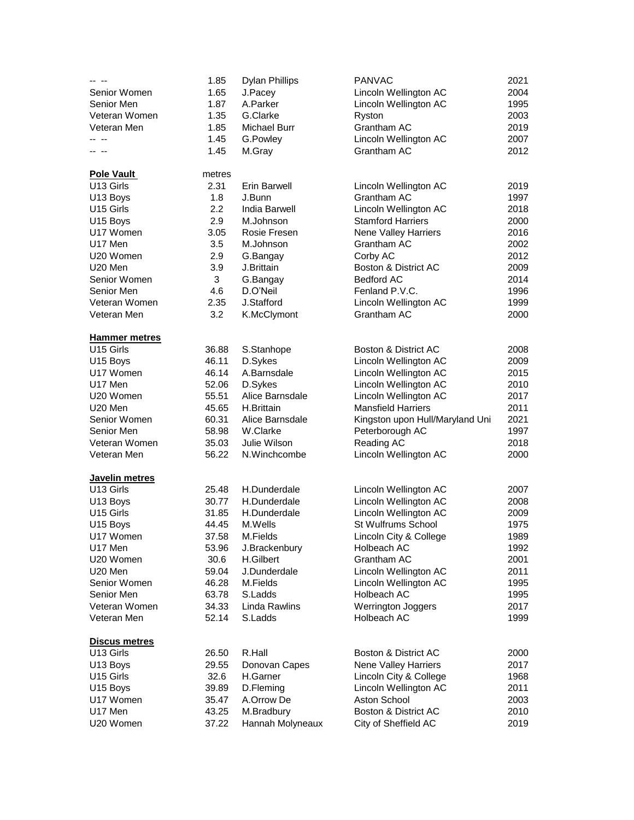|                      | 1.85   | <b>Dylan Phillips</b> | <b>PANVAC</b>                   | 2021 |
|----------------------|--------|-----------------------|---------------------------------|------|
| Senior Women         | 1.65   | J.Pacey               | Lincoln Wellington AC           | 2004 |
| Senior Men           | 1.87   | A.Parker              | Lincoln Wellington AC           | 1995 |
| Veteran Women        | 1.35   | G.Clarke              | Ryston                          | 2003 |
| Veteran Men          | 1.85   | Michael Burr          | Grantham AC                     | 2019 |
| -- --                | 1.45   | G.Powley              | Lincoln Wellington AC           | 2007 |
|                      | 1.45   | M.Gray                | Grantham AC                     | 2012 |
|                      |        |                       |                                 |      |
| <b>Pole Vault</b>    | metres |                       |                                 |      |
| U13 Girls            | 2.31   | <b>Erin Barwell</b>   | Lincoln Wellington AC           | 2019 |
| U13 Boys             | 1.8    | J.Bunn                | Grantham AC                     | 1997 |
| U15 Girls            | 2.2    | <b>India Barwell</b>  | Lincoln Wellington AC           | 2018 |
| U15 Boys             | 2.9    | M.Johnson             | <b>Stamford Harriers</b>        | 2000 |
| U17 Women            | 3.05   | Rosie Fresen          | Nene Valley Harriers            | 2016 |
| U17 Men              | 3.5    | M.Johnson             | Grantham AC                     | 2002 |
| U20 Women            | 2.9    | G.Bangay              | Corby AC                        | 2012 |
| U20 Men              | 3.9    | J.Brittain            | Boston & District AC            | 2009 |
| Senior Women         | 3      | G.Bangay              | <b>Bedford AC</b>               | 2014 |
| Senior Men           | 4.6    | D.O'Neil              | Fenland P.V.C.                  | 1996 |
| Veteran Women        | 2.35   | J.Stafford            | Lincoln Wellington AC           | 1999 |
| Veteran Men          | 3.2    | K.McClymont           | Grantham AC                     | 2000 |
|                      |        |                       |                                 |      |
| <b>Hammer metres</b> |        |                       |                                 |      |
| U15 Girls            | 36.88  | S.Stanhope            | Boston & District AC            | 2008 |
| U <sub>15</sub> Boys | 46.11  | D.Sykes               | Lincoln Wellington AC           | 2009 |
| U17 Women            | 46.14  | A.Barnsdale           | Lincoln Wellington AC           | 2015 |
| U17 Men              | 52.06  | D.Sykes               | Lincoln Wellington AC           | 2010 |
| U20 Women            | 55.51  | Alice Barnsdale       | Lincoln Wellington AC           | 2017 |
| U20 Men              | 45.65  | H.Brittain            | <b>Mansfield Harriers</b>       | 2011 |
| Senior Women         | 60.31  | Alice Barnsdale       | Kingston upon Hull/Maryland Uni | 2021 |
| Senior Men           | 58.98  | W.Clarke              | Peterborough AC                 | 1997 |
| Veteran Women        | 35.03  | Julie Wilson          | Reading AC                      | 2018 |
| Veteran Men          | 56.22  | N.Winchcombe          | Lincoln Wellington AC           | 2000 |
|                      |        |                       |                                 |      |
| Javelin metres       |        |                       |                                 |      |
| U13 Girls            | 25.48  | H.Dunderdale          | Lincoln Wellington AC           | 2007 |
| U13 Boys             | 30.77  | H.Dunderdale          | Lincoln Wellington AC           | 2008 |
| U15 Girls            | 31.85  | H.Dunderdale          | Lincoln Wellington AC           | 2009 |
| U15 Boys             | 44.45  | M.Wells               | St Wulfrums School              | 1975 |
| U17 Women            | 37.58  | M.Fields              | Lincoln City & College          | 1989 |
| U17 Men              | 53.96  | J.Brackenbury         | Holbeach AC                     | 1992 |
| U20 Women            | 30.6   | H.Gilbert             | Grantham AC                     | 2001 |
| U20 Men              | 59.04  | J.Dunderdale          | Lincoln Wellington AC           | 2011 |
| Senior Women         | 46.28  | M.Fields              | Lincoln Wellington AC           | 1995 |
| Senior Men           | 63.78  | S.Ladds               | Holbeach AC                     | 1995 |
| Veteran Women        | 34.33  | Linda Rawlins         | Werrington Joggers              | 2017 |
| Veteran Men          | 52.14  | S.Ladds               | Holbeach AC                     | 1999 |
|                      |        |                       |                                 |      |
| <b>Discus metres</b> |        |                       |                                 |      |
| U13 Girls            | 26.50  | R.Hall                | Boston & District AC            | 2000 |
| U13 Boys             | 29.55  | Donovan Capes         | Nene Valley Harriers            | 2017 |
| U15 Girls            | 32.6   | H.Garner              | Lincoln City & College          | 1968 |
| U15 Boys             | 39.89  | D.Fleming             | Lincoln Wellington AC           | 2011 |
| U17 Women            | 35.47  | A.Orrow De            | Aston School                    | 2003 |
| U17 Men              | 43.25  | M.Bradbury            | Boston & District AC            | 2010 |
| U20 Women            | 37.22  | Hannah Molyneaux      | City of Sheffield AC            | 2019 |